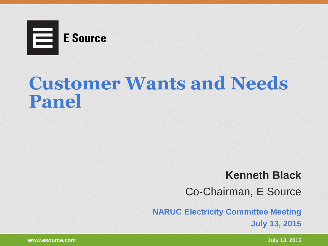

## **Customer Wants and Needs Panel**

#### **Kenneth Black**

Co-Chairman, E Source

**NARUC Electricity Committee Meeting July 13, 2015**

**www.esource.com July 13, 2015**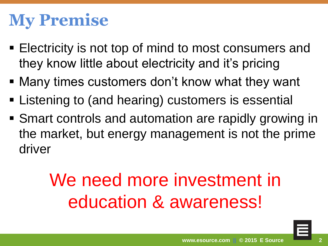## **My Premise**

- **Electricity is not top of mind to most consumers and** they know little about electricity and it's pricing
- Many times customers don't know what they want
- **Example 2** Listening to (and hearing) customers is essential
- Smart controls and automation are rapidly growing in the market, but energy management is not the prime driver

# We need more investment in education & awareness!

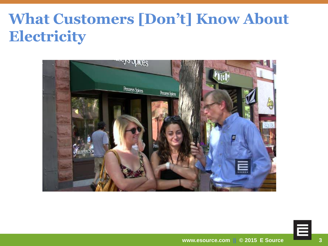#### **What Customers [Don't] Know About Electricity**



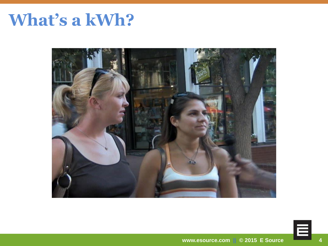## What's a kWh?



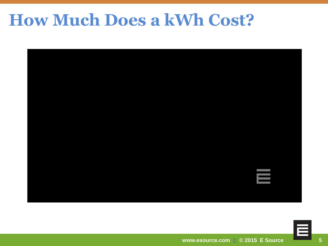### **How Much Does a kWh Cost?**



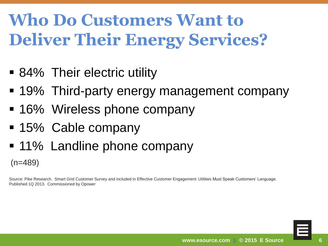## **Who Do Customers Want to Deliver Their Energy Services?**

- 84% Their electric utility
- 19% Third-party energy management company
- 16% Wireless phone company
- 15% Cable company
- 11% Landline phone company

 $(n=489)$ 

Source: Pike Research. Smart Grid Customer Survey and included in Effective Customer Engagement: Utilities Must Speak Customers' Language. Published 1Q 2013. Commissioned by Opower

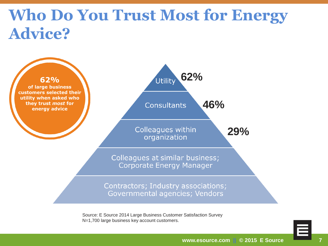### **Who Do You Trust Most for Energy Advice?**



Source: E Source 2014 Large Business Customer Satisfaction Survey N=1,700 large business key account customers.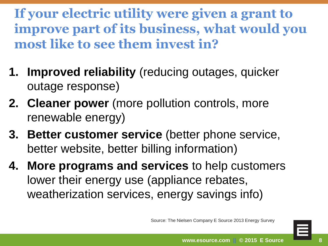**If your electric utility were given a grant to improve part of its business, what would you most like to see them invest in?**

- **1. Improved reliability** (reducing outages, quicker outage response)
- **2. Cleaner power** (more pollution controls, more renewable energy)
- **3. Better customer service** (better phone service, better website, better billing information)
- **4. More programs and services** to help customers lower their energy use (appliance rebates, weatherization services, energy savings info)

Source: The Nielsen Company E Source 2013 Energy Survey

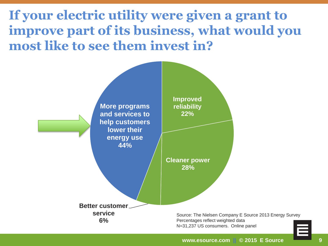**If your electric utility were given a grant to improve part of its business, what would you most like to see them invest in?**

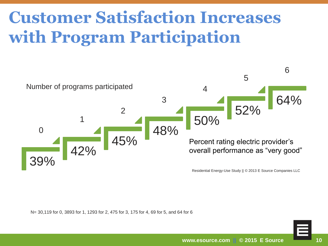## **Customer Satisfaction Increases with Program Participation**



N= 30,119 for 0, 3893 for 1, 1293 for 2, 475 for 3, 175 for 4, 69 for 5, and 64 for 6

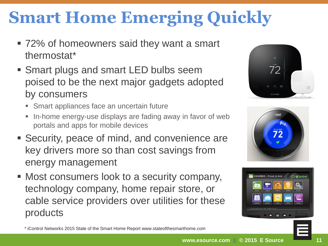## **Smart Home Emerging Quickly**

- 72% of homeowners said they want a smart thermostat\*
- **Smart plugs and smart LED bulbs seem** poised to be the next major gadgets adopted by consumers
	- **Smart appliances face an uncertain future**
	- In-home energy-use displays are fading away in favor of web portals and apps for mobile devices
- Security, peace of mind, and convenience are key drivers more so than cost savings from energy management
- Most consumers look to a security company, technology company, home repair store, or cable service providers over utilities for these products







\* iControl Networks 2015 State of the Smart Home Report www.stateofthesmarthome.com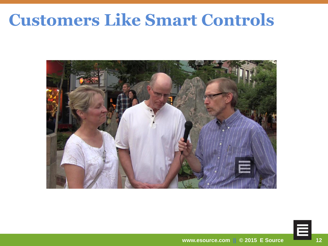### **Customers Like Smart Controls**